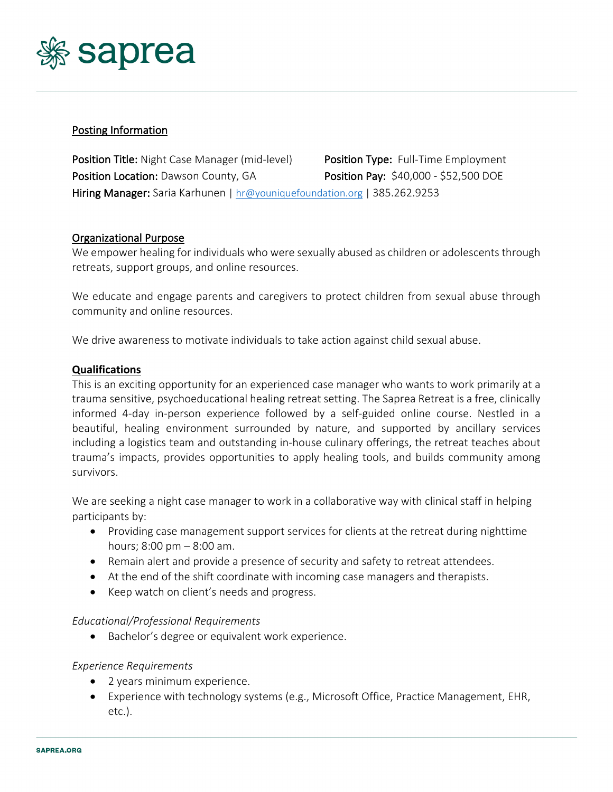

### Posting Information

Position Title: Night Case Manager (mid-level) Position Type: Full-Time Employment Position Location: Dawson County, GA Position Pay: \$40,000 - \$52,500 DOE Hiring Manager: Saria Karhunen | hr@youniquefoundation.org | 385.262.9253

### Organizational Purpose

We empower healing for individuals who were sexually abused as children or adolescents through retreats, support groups, and online resources.

We educate and engage parents and caregivers to protect children from sexual abuse through community and online resources.

We drive awareness to motivate individuals to take action against child sexual abuse.

#### **Qualifications**

This is an exciting opportunity for an experienced case manager who wants to work primarily at a trauma sensitive, psychoeducational healing retreat setting. The Saprea Retreat is a free, clinically informed 4-day in-person experience followed by a self-guided online course. Nestled in a beautiful, healing environment surrounded by nature, and supported by ancillary services including a logistics team and outstanding in-house culinary offerings, the retreat teaches about trauma's impacts, provides opportunities to apply healing tools, and builds community among survivors.

We are seeking a night case manager to work in a collaborative way with clinical staff in helping participants by:

- Providing case management support services for clients at the retreat during nighttime hours; 8:00 pm – 8:00 am.
- Remain alert and provide a presence of security and safety to retreat attendees.
- At the end of the shift coordinate with incoming case managers and therapists.
- Keep watch on client's needs and progress.

# *Educational/Professional Requirements*

• Bachelor's degree or equivalent work experience.

#### *Experience Requirements*

- 2 years minimum experience.
- Experience with technology systems (e.g., Microsoft Office, Practice Management, EHR, etc.).